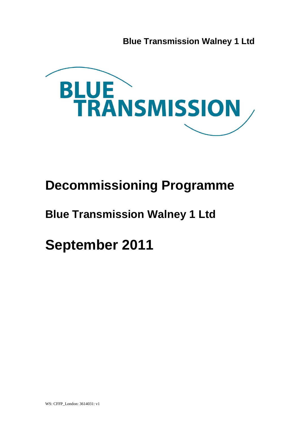**Blue Transmission Walney 1 Ltd**



# **Decommissioning Programme**

## **Blue Transmission Walney 1 Ltd**

**September 2011**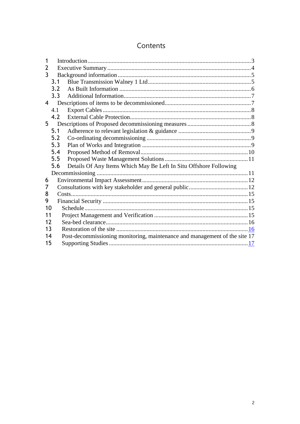## Contents

| 1  |     |                                                                            |  |
|----|-----|----------------------------------------------------------------------------|--|
| 2  |     |                                                                            |  |
| 3  |     |                                                                            |  |
|    | 3.1 |                                                                            |  |
|    | 3.2 |                                                                            |  |
|    | 3.3 |                                                                            |  |
| 4  |     |                                                                            |  |
|    | 4.1 |                                                                            |  |
|    | 4.2 |                                                                            |  |
| 5  |     |                                                                            |  |
|    | 5.1 |                                                                            |  |
|    | 5.2 |                                                                            |  |
|    | 5.3 |                                                                            |  |
|    | 5.4 |                                                                            |  |
|    | 5.5 |                                                                            |  |
|    | 5.6 | Details Of Any Items Which May Be Left In Situ Offshore Following          |  |
|    |     |                                                                            |  |
| 6  |     |                                                                            |  |
| 7  |     |                                                                            |  |
| 8  |     |                                                                            |  |
| 9  |     |                                                                            |  |
| 10 |     |                                                                            |  |
| 11 |     |                                                                            |  |
| 12 |     |                                                                            |  |
| 13 |     |                                                                            |  |
| 14 |     | Post-decommissioning monitoring, maintenance and management of the site 17 |  |
| 15 |     |                                                                            |  |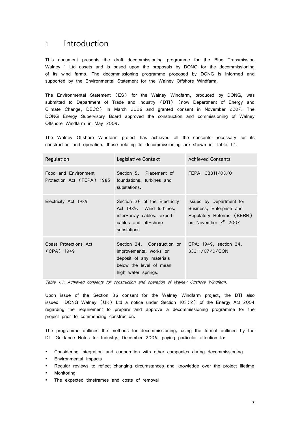## <span id="page-2-0"></span>1 Introduction

This document presents the draft decommissioning programme for the Blue Transmission Walney 1 Ltd assets and is based upon the proposals by DONG for the decommissioning of its wind farms. The decommissioning programme proposed by DONG is informed and supported by the Environmental Statement for the Walney Offshore Windfarm.

The Environmental Statement (ES) for the Walney Windfarm, produced by DONG, was submitted to Department of Trade and Industry (DTI) (now Department of Energy and Climate Change, DECC) in March 2006 and granted consent in November 2007. The DONG Energy Supervisory Board approved the construction and commissioning of Walney Offshore Windfarm in May 2009.

The Walney Offshore Windfarm project has achieved all the consents necessary for its construction and operation, those relating to decommissioning are shown in Table 1.1.

| Regulation                                         | Legislative Context                                                                                                                 | <b>Achieved Consents</b>                                                                                              |
|----------------------------------------------------|-------------------------------------------------------------------------------------------------------------------------------------|-----------------------------------------------------------------------------------------------------------------------|
| Food and Environment<br>Protection Act (FEPA) 1985 | Section 5. Placement of<br>foundations, turbines and<br>substations.                                                                | FEPA: 33311/08/0                                                                                                      |
| Electricity Act 1989                               | Section 36 of the Electricity<br>Act 1989. Wind turbines,<br>inter-array cables, export<br>cables and off-shore<br>substations      | Issued by Department for<br>Business, Enterprise and<br>Regulatory Reforms (BERR)<br>on November 7 <sup>th</sup> 2007 |
| Coast Protections Act<br>(CPA) 1949                | Section 34. Construction or<br>improvements, works or<br>deposit of any materials<br>below the level of mean<br>high water springs. | CPA: 1949, section 34.<br>33311/07/0/CON                                                                              |

Table 1.1: Achieved consents for construction and operation of Walney Offshore Windfarm.

Upon issue of the Section 36 consent for the Walney Windfarm project, the DTI also issued DONG Walney (UK) Ltd a notice under Section 105(2) of the Energy Act 2004 regarding the requirement to prepare and approve a decommissioning programme for the project prior to commencing construction.

The programme outlines the methods for decommissioning, using the format outlined by the DTI Guidance Notes for Industry, December 2006, paying particular attention to:

- Considering integration and cooperation with other companies during decommissioning
- **Environmental impacts**
- Regular reviews to reflect changing circumstances and knowledge over the project lifetime
- Monitoring
- **The expected timeframes and costs of removal**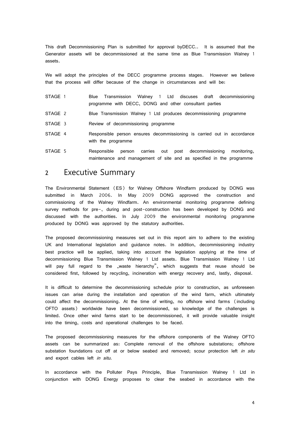This draft Decommissioning Plan is submitted for approval byDECC.. It is assumed that the Generator assets will be decommissioned at the same time as Blue Transmission Walney 1 assets.

We will adopt the principles of the DECC programme process stages. However we believe that the process will differ because of the change in circumstances and will be:

- STAGE 1 Blue Transmission Walney 1 Ltd discuses draft decommissioning programme with DECC, DONG and other consultant parties
- STAGE 2 Blue Transmission Walney 1 Ltd produces decommissioning programme
- STAGE 3 Review of decommissioning programme
- STAGE 4 Responsible person ensures decommissioning is carried out in accordance with the programme
- STAGE 5 Responsible person carries out post decommissioning monitoring, maintenance and management of site and as specified in the programme

## <span id="page-3-0"></span>2 Executive Summary

The Environmental Statement (ES) for Walney Offshore Windfarm produced by DONG was submitted in March 2006. In May 2009 DONG approved the construction and commissioning of the Walney Windfarm. An environmental monitoring programme defining survey methods for pre-, during and post-construction has been developed by DONG and discussed with the authorities. In July 2009 the environmental monitoring programme produced by DONG was approved by the statutory authorities.

The proposed decommissioning measures set out in this report aim to adhere to the existing UK and International legislation and guidance notes. In addition, decommissioning industry best practice will be applied, taking into account the legislation applying at the time of decommissioning Blue Transmission Walney 1 Ltd assets. Blue Transmission Walney 1 Ltd will pay full regard to the "waste hierarchy", which suggests that reuse should be considered first, followed by recycling, incineration with energy recovery and, lastly, disposal.

It is difficult to determine the decommissioning schedule prior to construction, as unforeseen issues can arise during the installation and operation of the wind farm, which ultimately could affect the decommissioning. At the time of writing, no offshore wind farms (including OFTO assets) worldwide have been decommissioned, so knowledge of the challenges is limited. Once other wind farms start to be decommissioned, it will provide valuable insight into the timing, costs and operational challenges to be faced.

The proposed decommissioning measures for the offshore components of the Walney OFTO assets can be summarized as: Complete removal of the offshore substations; offshore substation foundations cut off at or below seabed and removed; scour protection left in situ and export cables left in situ.

In accordance with the Polluter Pays Principle, Blue Transmission Walney 1 Ltd in conjunction with DONG Energy proposes to clear the seabed in accordance with the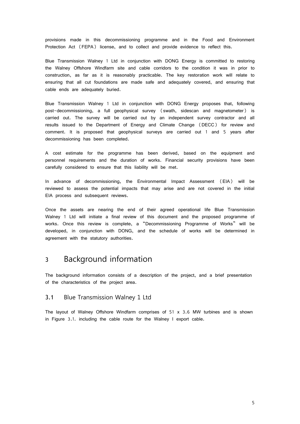provisions made in this decommissioning programme and in the Food and Environment Protection Act (FEPA) license, and to collect and provide evidence to reflect this.

Blue Transmission Walney 1 Ltd in conjunction with DONG Energy is committed to restoring the Walney Offshore Windfarm site and cable corridors to the condition it was in prior to construction, as far as it is reasonably practicable. The key restoration work will relate to ensuring that all cut foundations are made safe and adequately covered, and ensuring that cable ends are adequately buried.

Blue Transmission Walney 1 Ltd in conjunction with DONG Energy proposes that, following post-decommissioning, a full geophysical survey (swath, sidescan and magnetometer) is carried out. The survey will be carried out by an independent survey contractor and all results issued to the Department of Energy and Climate Change (DECC) for review and comment. It is proposed that geophysical surveys are carried out 1 and 5 years after decommissioning has been completed.

A cost estimate for the programme has been derived, based on the equipment and personnel requirements and the duration of works. Financial security provisions have been carefully considered to ensure that this liability will be met.

In advance of decommissioning, the Environmental Impact Assessment (EIA) will be reviewed to assess the potential impacts that may arise and are not covered in the initial EIA process and subsequent reviews.

Once the assets are nearing the end of their agreed operational life Blue Transmission Walney 1 Ltd will initiate a final review of this document and the proposed programme of works. Once this review is complete, a "Decommissioning Programme of Works" will be developed, in conjunction with DONG, and the schedule of works will be determined in agreement with the statutory authorities.

## <span id="page-4-0"></span>3 Background information

The background information consists of a description of the project, and a brief presentation of the characteristics of the project area.

#### <span id="page-4-1"></span>3.1 Blue Transmission Walney 1 Ltd

The layout of Walney Offshore Windfarm comprises of 51 x 3.6 MW turbines and is shown in Figure 3.1. including the cable route for the Walney I export cable.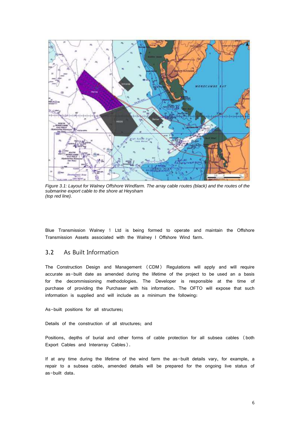

*Figure 3.1: Layout for Walney Offshore Windfarm. The array cable routes (black) and the routes of the submarine export cable to the shore at Heysham (top red line).*

Blue Transmission Walney 1 Ltd is being formed to operate and maintain the Offshore Transmission Assets associated with the Walney I Offshore Wind farm.

#### <span id="page-5-0"></span>3.2 As Built Information

The Construction Design and Management (CDM) Regulations will apply and will require accurate as-built date as amended during the lifetime of the project to be used an a basis for the decommissioning methodologies. The Developer is responsible at the time of purchase of providing the Purchaser with his information. The OFTO will expose that such information is supplied and will include as a minimum the following:

As-built positions for all structures;

Details of the construction of all structures; and

Positions, depths of burial and other forms of cable protection for all subsea cables (both Export Cables and Interarray Cables).

If at any time during the lifetime of the wind farm the as-built details vary, for example, a repair to a subsea cable, amended details will be prepared for the ongoing live status of as-built data.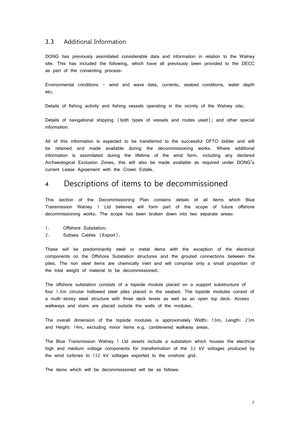#### <span id="page-6-0"></span>3.3 Additional Information

DONG has previously assimilated considerable data and information in relation to the Walney site. This has included the following, which have all previously been provided to the DECC as part of the consenting process:

Environmental conditions - wind and wave data, currents, seabed conditions, water depth etc;

Details of fishing activity and fishing vessels operating in the vicinity of the Walney site;

Details of navigational shipping (both types of vessels and routes used); and other special information.

All of this information is expected to be transferred to the successful OFTO bidder and will be retained and made available during the decommissioning works. Where additional information is assimilated during the lifetime of the wind farm, including any declared Archaeological Exclusion Zones, this will also be made available as required under DONG's current Lease Agreement with the Crown Estate.

## <span id="page-6-1"></span>4 Descriptions of items to be decommissioned

This section of the Decommissioning Plan contains details of all items which Blue Transmission Walney 1 Ltd believes will form part of the scope of future offshore decommissioning works. The scope has been broken down into two separate areas:

- 1. Offshore Substation;
- 2. Subsea Cables (Export).

These will be predominantly steel or metal items with the exception of the electrical components on the Offshore Substation structures and the grouted connections between the piles. The non steel items are chemically inert and will comprise only a small proportion of the total weight of material to be decommissioned.

The offshore substation consists of a topside module placed on a support substructure of four 1.6m circular hollowed steel piles placed in the seabed. The topside modules consist of a multi-storey steel structure with three deck levels as well as an open top deck. Access walkways and stairs are placed outside the walls of the modules.

The overall dimension of the topside modules is approximately Width: 13m; Length: 23m and Height: 14m, excluding minor items e.g. cantilevered walkway areas.

The Blue Transmission Walney 1 Ltd assets include a substation which houses the electrical high and medium voltage components for transformation of the 33 kV voltages produced by the wind turbines to 132 kV voltages exported to the onshore grid.

The items which will be decommissioned will be as follows: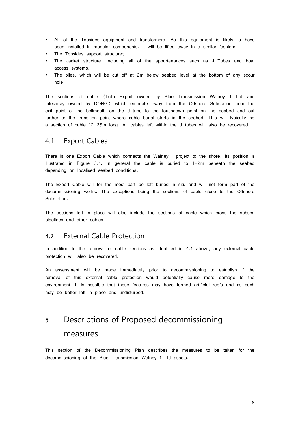- All of the Topsides equipment and transformers. As this equipment is likely to have been installed in modular components, it will be lifted away in a similar fashion;
- The Topsides support structure;
- The Jacket structure, including all of the appurtenances such as J-Tubes and boat access systems;
- The piles, which will be cut off at 2m below seabed level at the bottom of any scour hole

The sections of cable (both Export owned by Blue Transmission Walney 1 Ltd and Interarray owned by DONG) which emanate away from the Offshore Substation from the exit point of the bellmouth on the J-tube to the touchdown point on the seabed and out further to the transition point where cable burial starts in the seabed. This will typically be a section of cable 10-25m long. All cables left within the J-tubes will also be recovered.

### <span id="page-7-0"></span>4.1 Export Cables

There is one Export Cable which connects the Walney I project to the shore. Its position is illustrated in Figure 3.1. In general the cable is buried to 1-2m beneath the seabed depending on localised seabed conditions.

The Export Cable will for the most part be left buried in situ and will not form part of the decommissioning works. The exceptions being the sections of cable close to the Offshore Substation.

The sections left in place will also include the sections of cable which cross the subsea pipelines and other cables.

### <span id="page-7-1"></span>4.2 External Cable Protection

In addition to the removal of cable sections as identified in 4.1 above, any external cable protection will also be recovered.

An assessment will be made immediately prior to decommissioning to establish if the removal of this external cable protection would potentially cause more damage to the environment. It is possible that these features may have formed artificial reefs and as such may be better left in place and undisturbed.

## <span id="page-7-2"></span>5 Descriptions of Proposed decommissioning measures

This section of the Decommissioning Plan describes the measures to be taken for the decommissioning of the Blue Transmission Walney 1 Ltd assets.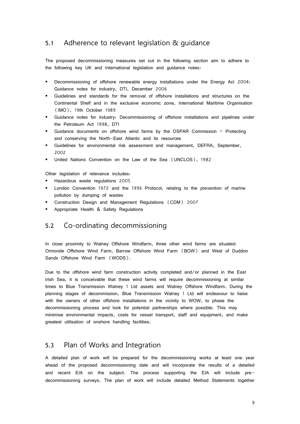### <span id="page-8-0"></span>5.1 Adherence to relevant legislation & guidance

The proposed decommissioning measures set out in the following section aim to adhere to the following key UK and International legislation and guidance notes:

- Decommissioning of offshore renewable energy installations under the Energy Act 2004: Guidance notes for industry, DTI, December 2006
- Guidelines and standards for the removal of offshore installations and structures on the Continental Shelf and in the exclusive economic zone, International Maritime Organisation (IMO), 19th October 1989
- Guidance notes for industry: Decommissioning of offshore installations and pipelines under the Petroleum Act 1998, DTI
- Guidance documents on offshore wind farms by the OSPAR Commission Protecting and conserving the North-East Atlantic and its resources
- **Example 1** Guidelines for environmental risk assessment and management, DEFRA, September, 2002
- United Nations Convention on the Law of the Sea (UNCLOS), 1982

Other legislation of relevance includes:

- Hazardous waste regulations 2005
- London Convention 1972 and the 1996 Protocol, relating to the prevention of marine pollution by dumping of wastes
- Construction Design and Management Regulations (CDM) 2007
- <span id="page-8-1"></span>Appropriate Health & Safety Regulations

### 5.2 Co-ordinating decommissioning

In close proximity to Walney Offshore Windfarm, three other wind farms are situated: Ormonde Offshore Wind Farm, Barrow Offshore Wind Farm (BOW) and West of Duddon Sands Offshore Wind Farm (WODS).

Due to the offshore wind farm construction activity completed and/or planned in the East Irish Sea, it is conceivable that these wind farms will require decommissioning at similar times to Blue Transmission Walney 1 Ltd assets and Walney Offshore Windfarm. During the planning stages of decommission, Blue Transmission Walney 1 Ltd will endeavour to liaise with the owners of other offshore installations in the vicinity to WOW, to phase the decommissioning process and look for potential partnerships where possible. This may minimise environmental impacts, costs for vessel transport, staff and equipment, and make greatest utilisation of onshore handling facilities.

## <span id="page-8-2"></span>5.3 Plan of Works and Integration

A detailed plan of work will be prepared for the decommissioning works at least one year ahead of the proposed decommissioning date and will incorporate the results of a detailed and recent EIA on the subject. The process supporting the EIA will include predecommissioning surveys. The plan of work will include detailed Method Statements together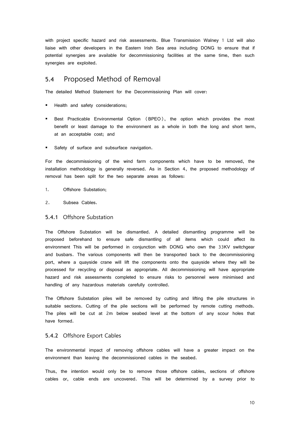with project specific hazard and risk assessments. Blue Transmission Walney 1 Ltd will also liaise with other developers in the Eastern Irish Sea area including DONG to ensure that if potential synergies are available for decommissioning facilities at the same time, then such synergies are exploited.

### <span id="page-9-0"></span>5.4 Proposed Method of Removal

The detailed Method Statement for the Decommissioning Plan will cover:

- Health and safety considerations;
- Best Practicable Environmental Option (BPEO), the option which provides the most benefit or least damage to the environment as a whole in both the long and short term, at an acceptable cost; and
- Safety of surface and subsurface navigation.

For the decommissioning of the wind farm components which have to be removed, the installation methodology is generally reversed. As in Section 4, the proposed methodology of removal has been split for the two separate areas as follows:

- 1. Offshore Substation;
- 2. Subsea Cables.

#### 5.4.1 Offshore Substation

The Offshore Substation will be dismantled. A detailed dismantling programme will be proposed beforehand to ensure safe dismantling of all items which could affect its environment This will be performed in conjunction with DONG who own the 33KV switchgear and busbars. The various components will then be transported back to the decommissioning port, where a quayside crane will lift the components onto the quayside where they will be processed for recycling or disposal as appropriate. All decommissioning will have appropriate hazard and risk assessments completed to ensure risks to personnel were minimised and handling of any hazardous materials carefully controlled.

The Offshore Substation piles will be removed by cutting and lifting the pile structures in suitable sections. Cutting of the pile sections will be performed by remote cutting methods. The piles will be cut at 2m below seabed level at the bottom of any scour holes that have formed.

#### 5.4.2 Offshore Export Cables

The environmental impact of removing offshore cables will have a greater impact on the environment than leaving the decommissioned cables in the seabed.

Thus, the intention would only be to remove those offshore cables, sections of offshore cables or, cable ends are uncovered. This will be determined by a survey prior to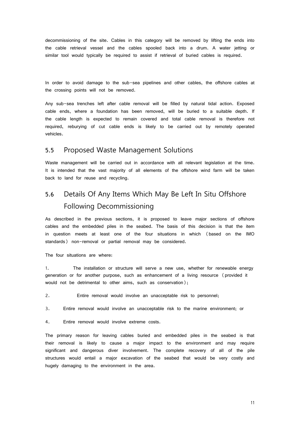decommissioning of the site. Cables in this category will be removed by lifting the ends into the cable retrieval vessel and the cables spooled back into a drum. A water jetting or similar tool would typically be required to assist if retrieval of buried cables is required.

In order to avoid damage to the sub-sea pipelines and other cables, the offshore cables at the crossing points will not be removed.

Any sub-sea trenches left after cable removal will be filled by natural tidal action. Exposed cable ends, where a foundation has been removed, will be buried to a suitable depth. If the cable length is expected to remain covered and total cable removal is therefore not required, reburying of cut cable ends is likely to be carried out by remotely operated vehicles.

### <span id="page-10-0"></span>5.5 Proposed Waste Management Solutions

Waste management will be carried out in accordance with all relevant legislation at the time. It is intended that the vast majority of all elements of the offshore wind farm will be taken back to land for reuse and recycling.

## <span id="page-10-1"></span>5.6 Details Of Any Items Which May Be Left In Situ Offshore Following Decommissioning

As described in the previous sections, it is proposed to leave major sections of offshore cables and the embedded piles in the seabed. The basis of this decision is that the item in question meets at least one of the four situations in which (based on the IMO standards) non-removal or partial removal may be considered.

The four situations are where:

1. The installation or structure will serve a new use, whether for renewable energy generation or for another purpose, such as enhancement of a living resource (provided it would not be detrimental to other aims, such as conservation);

2. Entire removal would involve an unacceptable risk to personnel;

3. Entire removal would involve an unacceptable risk to the marine environment; or

4. Entire removal would involve extreme costs.

The primary reason for leaving cables buried and embedded piles in the seabed is that their removal is likely to cause a major impact to the environment and may require significant and dangerous diver involvement. The complete recovery of all of the pile structures would entail a major excavation of the seabed that would be very costly and hugely damaging to the environment in the area.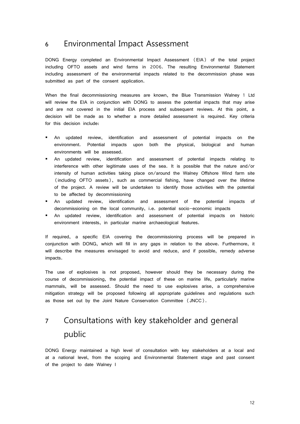## <span id="page-11-0"></span>6 Environmental Impact Assessment

DONG Energy completed an Environmental Impact Assessment (EIA) of the total project including OFTO assets and wind farms in 2006. The resulting Environmental Statement including assessment of the environmental impacts related to the decommission phase was submitted as part of the consent application.

When the final decommissioning measures are known, the Blue Transmission Walney 1 Ltd will review the EIA in conjunction with DONG to assess the potential impacts that may arise and are not covered in the initial EIA process and subsequent reviews. At this point, a decision will be made as to whether a more detailed assessment is required. Key criteria for this decision include:

- An updated review, identification and assessment of potential impacts on the environment. Potential impacts upon both the physical, biological and human environments will be assessed.
- An updated review, identification and assessment of potential impacts relating to interference with other legitimate uses of the sea. It is possible that the nature and/or intensity of human activities taking place on/around the Walney Offshore Wind farm site (including OFTO assets), such as commercial fishing, have changed over the lifetime of the project. A review will be undertaken to identify those activities with the potential to be affected by decommissioning
- An updated review, identification and assessment of the potential impacts of decommissioning on the local community, i.e. potential socio-economic impacts
- An updated review, identification and assessment of potential impacts on historic environment interests, in particular marine archaeological features.

If required, a specific EIA covering the decommissioning process will be prepared in conjunction with DONG, which will fill in any gaps in relation to the above. Furthermore, it will describe the measures envisaged to avoid and reduce, and if possible, remedy adverse impacts.

The use of explosives is not proposed, however should they be necessary during the course of decommissioning, the potential impact of these on marine life, particularly marine mammals, will be assessed. Should the need to use explosives arise, a comprehensive mitigation strategy will be proposed following all appropriate guidelines and regulations such as those set out by the Joint Nature Conservation Committee (JNCC).

## <span id="page-11-1"></span>7 Consultations with key stakeholder and general public

DONG Energy maintained a high level of consultation with key stakeholders at a local and at a national level, from the scoping and Environmental Statement stage and past consent of the project to date Walney I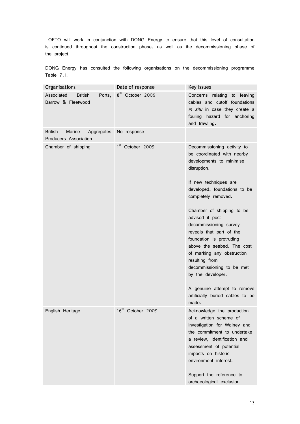OFTO will work in conjunction with DONG Energy to ensure that this level of consultation is continued throughout the construction phase, as well as the decommissioning phase of the project.

DONG Energy has consulted the following organisations on the decommissioning programme Table 7.1.

| Organisations                                                   | Date of response             | Key Issues                                                                                                                                                                                                                                                                                                                                                                                                                                                                                                                         |
|-----------------------------------------------------------------|------------------------------|------------------------------------------------------------------------------------------------------------------------------------------------------------------------------------------------------------------------------------------------------------------------------------------------------------------------------------------------------------------------------------------------------------------------------------------------------------------------------------------------------------------------------------|
| Associated<br><b>British</b><br>Ports,<br>Barrow & Fleetwood    | 8 <sup>th</sup> October 2009 | Concerns relating to leaving<br>cables and cutoff foundations<br>in situ in case they create a<br>fouling hazard for anchoring<br>and trawling.                                                                                                                                                                                                                                                                                                                                                                                    |
| <b>British</b><br>Marine<br>Aggregates<br>Producers Association | No response                  |                                                                                                                                                                                                                                                                                                                                                                                                                                                                                                                                    |
| Chamber of shipping                                             | 1 <sup>st</sup> October 2009 | Decommissioning activity to<br>be coordinated with nearby<br>developments to minimise<br>disruption.<br>If new techniques are<br>developed, foundations to be<br>completely removed.<br>Chamber of shipping to be<br>advised if post<br>decommissioning survey<br>reveals that part of the<br>foundation is protruding<br>above the seabed. The cost<br>of marking any obstruction<br>resulting from<br>decommissioning to be met<br>by the developer.<br>A genuine attempt to remove<br>artificially buried cables to be<br>made. |
| English Heritage                                                | 16th October 2009            | Acknowledge the production<br>of a written scheme of<br>investigation for Walney and<br>the commitment to undertake<br>a review, identification and<br>assessment of potential<br>impacts on historic<br>environment interest.<br>Support the reference to<br>archaeological exclusion                                                                                                                                                                                                                                             |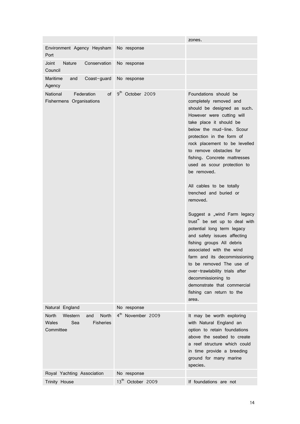|                                                                                                 |                                 | zones.                                                                                                                                                                                                                                                                                                                                                                                                                                                                                                                                                                                                                                                                                                                                                                                      |
|-------------------------------------------------------------------------------------------------|---------------------------------|---------------------------------------------------------------------------------------------------------------------------------------------------------------------------------------------------------------------------------------------------------------------------------------------------------------------------------------------------------------------------------------------------------------------------------------------------------------------------------------------------------------------------------------------------------------------------------------------------------------------------------------------------------------------------------------------------------------------------------------------------------------------------------------------|
| Environment Agency Heysham<br>Port                                                              | No response                     |                                                                                                                                                                                                                                                                                                                                                                                                                                                                                                                                                                                                                                                                                                                                                                                             |
| Joint<br>Conservation<br><b>Nature</b><br>Council                                               | No response                     |                                                                                                                                                                                                                                                                                                                                                                                                                                                                                                                                                                                                                                                                                                                                                                                             |
| Maritime<br>Coast-guard<br>and<br>Agency                                                        | No response                     |                                                                                                                                                                                                                                                                                                                                                                                                                                                                                                                                                                                                                                                                                                                                                                                             |
| National<br>Federation<br>of<br>Fishermens Organisations                                        | 9 <sup>th</sup><br>October 2009 | Foundations should be<br>completely removed and<br>should be designed as such.<br>However were cutting will<br>take place it should be<br>below the mud-line. Scour<br>protection in the form of<br>rock placement to be levelled<br>to remove obstacles for<br>fishing. Concrete mattresses<br>used as scour protection to<br>be removed.<br>All cables to be totally<br>trenched and buried or<br>removed.<br>Suggest a "wind Farm legacy<br>trust" be set up to deal with<br>potential long term legacy<br>and safety issues affecting<br>fishing groups All debris<br>associated with the wind<br>farm and its decommissioning<br>to be removed The use of<br>over-trawlability trials after<br>decommissioning to<br>demonstrate that commercial<br>fishing can return to the<br>area. |
| Natural England                                                                                 | No response                     |                                                                                                                                                                                                                                                                                                                                                                                                                                                                                                                                                                                                                                                                                                                                                                                             |
| <b>North</b><br><b>North</b><br>Western<br>and<br>Sea<br>Wales<br><b>Fisheries</b><br>Committee | 4 <sup>th</sup> November 2009   | It may be worth exploring<br>with Natural England an<br>option to retain foundations<br>above the seabed to create<br>a reef structure which could<br>in time provide a breeding<br>ground for many marine<br>species.                                                                                                                                                                                                                                                                                                                                                                                                                                                                                                                                                                      |
| Royal Yachting Association                                                                      | No response                     |                                                                                                                                                                                                                                                                                                                                                                                                                                                                                                                                                                                                                                                                                                                                                                                             |
| Trinity House                                                                                   | 13 <sup>th</sup> October 2009   | If foundations are not                                                                                                                                                                                                                                                                                                                                                                                                                                                                                                                                                                                                                                                                                                                                                                      |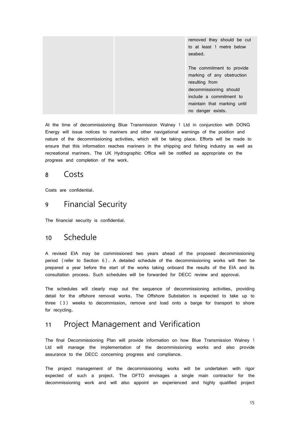|  | removed they should be cut  |
|--|-----------------------------|
|  | to at least 1 metre below   |
|  | seabed.                     |
|  |                             |
|  | The commitment to provide   |
|  | marking of any obstruction  |
|  | resulting from              |
|  | decommissioning should      |
|  | include a commitment to     |
|  | maintain that marking until |
|  | no danger exists.           |

At the time of decommissioning Blue Transmission Walney 1 Ltd in conjunction with DONG Energy will issue notices to mariners and other navigational warnings of the position and nature of the decommissioning activities, which will be taking place. Efforts will be made to ensure that this information reaches mariners in the shipping and fishing industry as well as recreational mariners. The UK Hydrographic Office will be notified as appropriate on the progress and completion of the work.

## <span id="page-14-0"></span>8 Costs

<span id="page-14-1"></span>Costs are confidential.

## 9 Financial Security

The financial security is confidential.

## <span id="page-14-2"></span>10 Schedule

A revised EIA may be commissioned two years ahead of the proposed decommissioning period (refer to Section 6). A detailed schedule of the decommissioning works will then be prepared a year before the start of the works taking onboard the results of the EIA and its consultation process. Such schedules will be forwarded for DECC review and approval.

The schedules will clearly map out the sequence of decommissioning activities, providing detail for the offshore removal works. The Offshore Substation is expected to take up to three (3) weeks to decommission, remove and load onto a barge for transport to shore for recycling.

## <span id="page-14-3"></span>11 Project Management and Verification

The final Decommissioning Plan will provide information on how Blue Transmission Walney 1 Ltd will manage the implementation of the decommissioning works and also provide assurance to the DECC concerning progress and compliance.

The project management of the decommissioning works will be undertaken with rigor expected of such a project. The OFTO envisages a single main contractor for the decommissioning work and will also appoint an experienced and highly qualified project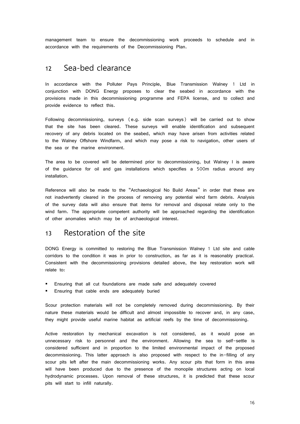management team to ensure the decommissioning work proceeds to schedule and in accordance with the requirements of the Decommissioning Plan.

## <span id="page-15-0"></span>12 Sea-bed clearance

In accordance with the Polluter Pays Principle, Blue Transmission Walney 1 Ltd in conjunction with DONG Energy proposes to clear the seabed in accordance with the provisions made in this decommissioning programme and FEPA license, and to collect and provide evidence to reflect this.

Following decommissioning, surveys (e.g. side scan surveys) will be carried out to show that the site has been cleared. These surveys will enable identification and subsequent recovery of any debris located on the seabed, which may have arisen from activities related to the Walney Offshore Windfarm, and which may pose a risk to navigation, other users of the sea or the marine environment.

The area to be covered will be determined prior to decommissioning, but Walney I is aware of the guidance for oil and gas installations which specifies a 500m radius around any installation.

Reference will also be made to the "Archaeological No Build Areas" in order that these are not inadvertently cleared in the process of removing any potential wind farm debris. Analysis of the survey data will also ensure that items for removal and disposal relate only to the wind farm. The appropriate competent authority will be approached regarding the identification of other anomalies which may be of archaeological interest.

## <span id="page-15-1"></span>13 Restoration of the site

DONG Energy is committed to restoring the Blue Transmission Walney 1 Ltd site and cable corridors to the condition it was in prior to construction, as far as it is reasonably practical. Consistent with the decommissioning provisions detailed above, the key restoration work will relate to:

- **Ensuring that all cut foundations are made safe and adequately covered**
- **Ensuring that cable ends are adequately buried**

Scour protection materials will not be completely removed during decommissioning. By their nature these materials would be difficult and almost impossible to recover and, in any case, they might provide useful marine habitat as artificial reefs by the time of decommissioning.

Active restoration by mechanical excavation is not considered, as it would pose an unnecessary risk to personnel and the environment. Allowing the sea to self-settle is considered sufficient and in proportion to the limited environmental impact of the proposed decommissioning. This latter approach is also proposed with respect to the in-filling of any scour pits left after the main decommissioning works. Any scour pits that form in this area will have been produced due to the presence of the monopile structures acting on local hydrodynamic processes. Upon removal of these structures, it is predicted that these scour pits will start to infill naturally.